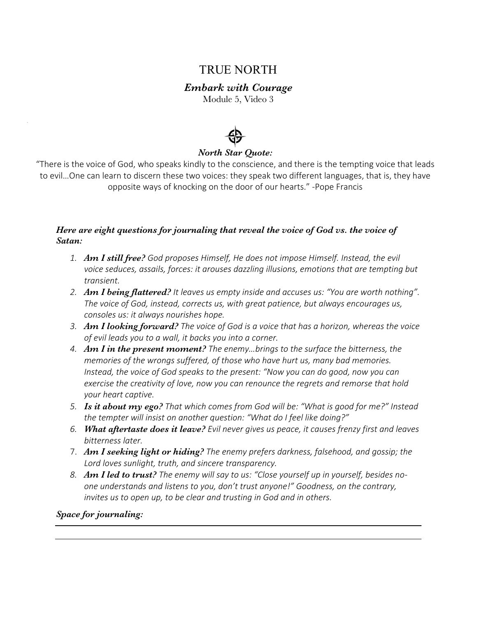# TRUE NORTH

## *Embark with Courage*

Module 5, Video 3



### *North Star Quote:*

"There is the voice of God, who speaks kindly to the conscience, and there is the tempting voice that leads to evil…One can learn to discern these two voices: they speak two different languages, that is, they have opposite ways of knocking on the door of our hearts." -Pope Francis

#### *Here are eight questions for journaling that reveal the voice of God vs. the voice of Satan:*

- *1. Am I still free? God proposes Himself, He does not impose Himself. Instead, the evil voice seduces, assails, forces: it arouses dazzling illusions, emotions that are tempting but transient.*
- *2. Am I being flattered? It leaves us empty inside and accuses us: "You are worth nothing". The voice of God, instead, corrects us, with great patience, but always encourages us, consoles us: it always nourishes hope.*
- *3. Am I looking forward? The voice of God is a voice that has a horizon, whereas the voice of evil leads you to a wall, it backs you into a corner.*
- *4. Am I in the present moment? The enemy…brings to the surface the bitterness, the memories of the wrongs suffered, of those who have hurt us, many bad memories. Instead, the voice of God speaks to the present: "Now you can do good, now you can exercise the creativity of love, now you can renounce the regrets and remorse that hold your heart captive.*
- *5. Is it about my ego? That which comes from God will be: "What is good for me?" Instead the tempter will insist on another question: "What do I feel like doing?"*
- *6. What aftertaste does it leave? Evil never gives us peace, it causes frenzy first and leaves bitterness later.*
- 7. *Am I seeking light or hiding? The enemy prefers darkness, falsehood, and gossip; the Lord loves sunlight, truth, and sincere transparency.*
- *8. Am I led to trust? The enemy will say to us: "Close yourself up in yourself, besides noone understands and listens to you, don't trust anyone!" Goodness, on the contrary, invites us to open up, to be clear and trusting in God and in others.*

#### *Space for journaling:*